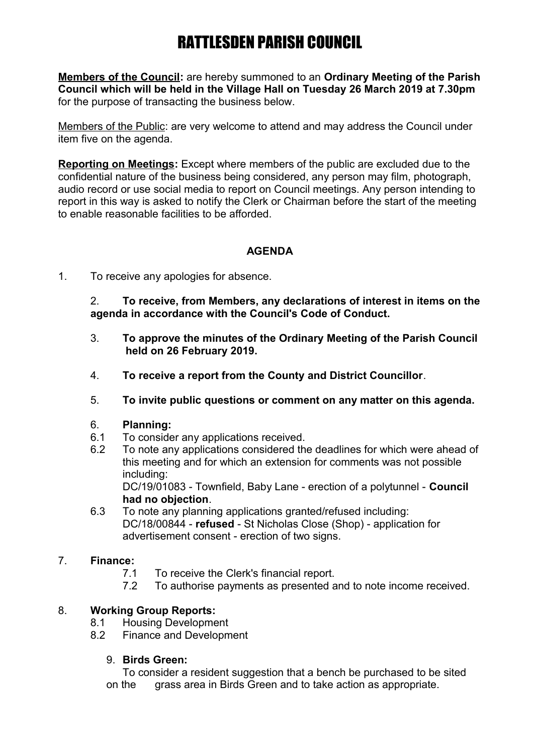# RATTLESDEN PARISH COUNCIL

**Members of the Council:** are hereby summoned to an **Ordinary Meeting of the Parish Council which will be held in the Village Hall on Tuesday 26 March 2019 at 7.30pm** for the purpose of transacting the business below.

Members of the Public: are very welcome to attend and may address the Council under item five on the agenda.

**Reporting on Meetings:** Except where members of the public are excluded due to the confidential nature of the business being considered, any person may film, photograph, audio record or use social media to report on Council meetings. Any person intending to report in this way is asked to notify the Clerk or Chairman before the start of the meeting to enable reasonable facilities to be afforded.

## **AGENDA**

1. To receive any apologies for absence.

2. **To receive, from Members, any declarations of interest in items on the agenda in accordance with the Council's Code of Conduct.**

- 3. **To approve the minutes of the Ordinary Meeting of the Parish Council held on 26 February 2019.**
- 4. **To receive a report from the County and District Councillor**.
- 5. **To invite public questions or comment on any matter on this agenda.**

## 6. **Planning:**

- 6.1 To consider any applications received.
- 6.2 To note any applications considered the deadlines for which were ahead of this meeting and for which an extension for comments was not possible including:

DC/19/01083 - Townfield, Baby Lane - erection of a polytunnel - **Council had no objection**.

6.3 To note any planning applications granted/refused including: DC/18/00844 - **refused** - St Nicholas Close (Shop) - application for advertisement consent - erection of two signs.

## 7. **Finance:**

- 7.1 To receive the Clerk's financial report.
- 7.2 To authorise payments as presented and to note income received.

## 8. **Working Group Reports:**

- 8.1 Housing Development
- 8.2 Finance and Development
	- 9. **Birds Green:**

To consider a resident suggestion that a bench be purchased to be sited on the grass area in Birds Green and to take action as appropriate.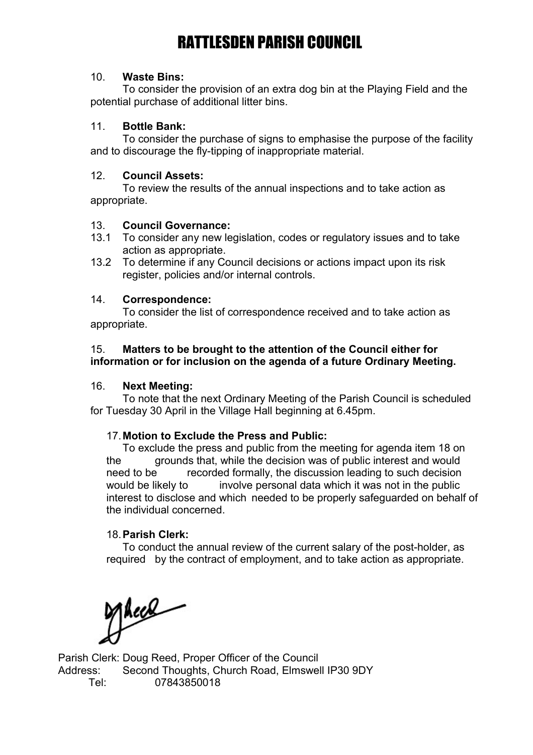## RATTLESDEN PARISH COUNCIL

#### 10. **Waste Bins:**

To consider the provision of an extra dog bin at the Playing Field and the potential purchase of additional litter bins.

#### 11. **Bottle Bank:**

To consider the purchase of signs to emphasise the purpose of the facility and to discourage the fly-tipping of inappropriate material.

#### 12. **Council Assets:**

To review the results of the annual inspections and to take action as appropriate.

### 13. **Council Governance:**

- 13.1 To consider any new legislation, codes or regulatory issues and to take action as appropriate.
- 13.2 To determine if any Council decisions or actions impact upon its risk register, policies and/or internal controls.

#### 14. **Correspondence:**

To consider the list of correspondence received and to take action as appropriate.

#### 15. **Matters to be brought to the attention of the Council either for information or for inclusion on the agenda of a future Ordinary Meeting.**

#### 16. **Next Meeting:**

To note that the next Ordinary Meeting of the Parish Council is scheduled for Tuesday 30 April in the Village Hall beginning at 6.45pm.

#### 17.**Motion to Exclude the Press and Public:**

To exclude the press and public from the meeting for agenda item 18 on the grounds that, while the decision was of public interest and would need to be recorded formally, the discussion leading to such decision would be likely to involve personal data which it was not in the public interest to disclose and which needed to be properly safeguarded on behalf of the individual concerned.

#### 18.**Parish Clerk:**

To conduct the annual review of the current salary of the post-holder, as required by the contract of employment, and to take action as appropriate.

Macel

Parish Clerk: Doug Reed, Proper Officer of the Council Address: Second Thoughts, Church Road, Elmswell IP30 9DY Tel: 07843850018